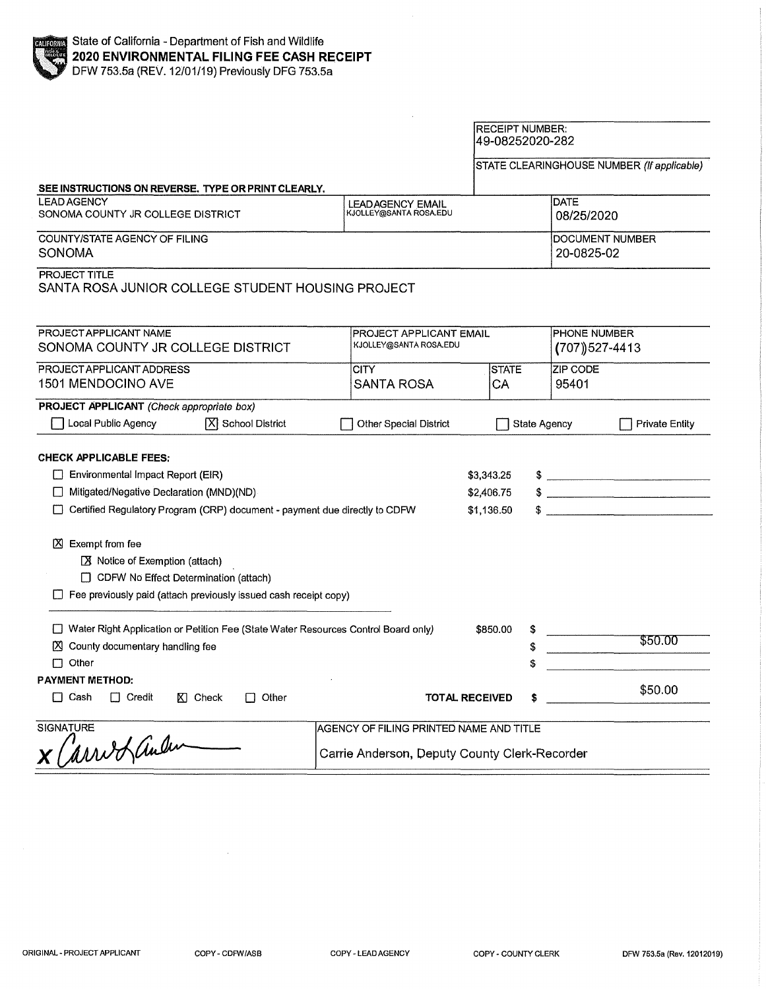#### RECEIPT NUMBER: 49-08252020-282

STATE CLEARINGHOUSE NUMBER (If applicable)

| SEE INSTRUCTIONS ON REVERSE. TYPE OR PRINT CLEARLY.                                                                                                                                                                                                                                                                                                                                          |                                               |                                        |                               |                                    |  |
|----------------------------------------------------------------------------------------------------------------------------------------------------------------------------------------------------------------------------------------------------------------------------------------------------------------------------------------------------------------------------------------------|-----------------------------------------------|----------------------------------------|-------------------------------|------------------------------------|--|
| <b>LEAD AGENCY</b><br>SONOMA COUNTY JR COLLEGE DISTRICT                                                                                                                                                                                                                                                                                                                                      | LEAD AGENCY EMAIL<br>KJOLLEY@SANTA ROSA.EDU   |                                        | DATE                          | 08/25/2020                         |  |
| COUNTY/STATE AGENCY OF FILING<br>SONOMA                                                                                                                                                                                                                                                                                                                                                      |                                               |                                        | DOCUMENT NUMBER<br>20-0825-02 |                                    |  |
| PROJECT TITLE<br>SANTA ROSA JUNIOR COLLEGE STUDENT HOUSING PROJECT                                                                                                                                                                                                                                                                                                                           |                                               |                                        |                               |                                    |  |
| PROJECT APPLICANT NAME<br>SONOMA COUNTY JR COLLEGE DISTRICT                                                                                                                                                                                                                                                                                                                                  | KJOLLEY@SANTA ROSA.EDU                        | PROJECT APPLICANT EMAIL                |                               | PHONE NUMBER<br>$(707)$ $527-4413$ |  |
| PROJECT APPLICANT ADDRESS                                                                                                                                                                                                                                                                                                                                                                    | CITY                                          | <b>STATE</b>                           | <b>ZIP CODE</b>               |                                    |  |
| 1501 MENDOCINO AVE                                                                                                                                                                                                                                                                                                                                                                           | <b>SANTA ROSA</b>                             | СA                                     | 95401                         |                                    |  |
| PROJECT APPLICANT (Check appropriate box)                                                                                                                                                                                                                                                                                                                                                    |                                               |                                        |                               |                                    |  |
| Local Public Agency<br>X School District                                                                                                                                                                                                                                                                                                                                                     | Other Special District                        | State Agency                           |                               | <b>Private Entity</b>              |  |
| <b>CHECK APPLICABLE FEES:</b><br>$\Box$ Environmental Impact Report (EIR)<br>Mitigated/Negative Declaration (MND)(ND)<br>U<br>Certified Regulatory Program (CRP) document - payment due directly to CDFW<br><b>凶</b> Exempt from fee<br>$X$ Notice of Exemption (attach)<br>CDFW No Effect Determination (attach)<br>$\Box$ Fee previously paid (attach previously issued cash receipt copy) |                                               | \$3,343.25<br>\$2,406.75<br>\$1,136.50 |                               | $\frac{1}{2}$                      |  |
| □ Water Right Application or Petition Fee (State Water Resources Control Board only)<br>County documentary handling fee<br>ΙXΙ.<br>$\Box$ Other                                                                                                                                                                                                                                              |                                               | \$850.00                               | \$                            | \$50.00                            |  |
| <b>PAYMENT METHOD:</b><br>$\Box$ Cash<br>$\Box$ Credit<br>$K$ Check<br>$\Box$ Other                                                                                                                                                                                                                                                                                                          | <b>TOTAL RECEIVED</b>                         |                                        |                               | \$50.00                            |  |
| <b>SIGNATURE</b>                                                                                                                                                                                                                                                                                                                                                                             | AGENCY OF FILING PRINTED NAME AND TITLE       |                                        |                               |                                    |  |
| X Carred ander                                                                                                                                                                                                                                                                                                                                                                               | Carrie Anderson, Deputy County Clerk-Recorder |                                        |                               |                                    |  |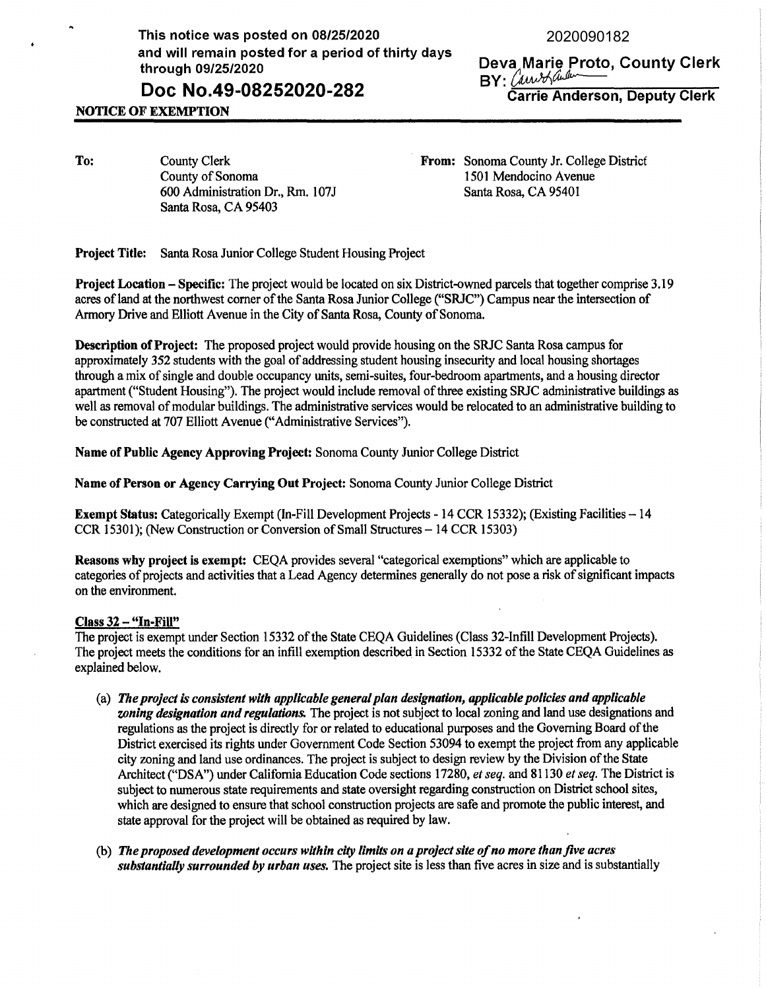This notice was posted on 08/25/2020 and will remain posted for a period of thirty days through 09/25/2020

# **Doc No.49-08252020-282**

2020090182

**Deva Marie Proto, County Clerk**<br>BY: Can badareer **Denuty Clerk** 

**Carrie Anderson, Deputy Clerk** 

## **NOTICE OF EXEMPTION**

**To:** County Clerk County of Sonoma 600 Administration Dr., Rm. 107J Santa Rosa, CA 95403

**From:** Sonoma County Jr. College District 1501 Mendocino Avenue Santa Rosa, CA 95401

**Project Title:** Santa Rosa Junior College Student Housing Project

**Project Location** - **Specific:** The project would be located on six District-owned parcels that together comprise 3.19 acres of land at the northwest corner of the Santa Rosa Junior College ("SRJC") Campus near the intersection of Armory Drive and Elliott Avenue in the City of Santa Rosa, County of Sonoma.

**Description of Project:** The proposed project would provide housing on the SRJC Santa Rosa campus for approximately 352 students with the goal of addressing student housing insecurity and local housing shortages through a mix of single and double occupancy units, semi-suites, four-bedroom apartments, and a housing director apartment ("Student Housing"). The project would include removal of three existing SRJC administrative buildings as well as removal of modular buildings. The administrative services would be relocated to an administrative building to be constructed at 707 Elliott Avenue ("Administrative Services").

**Name of Public Agency Approving Project:** Sonoma County Junior College District

**Name of Person or Agency Carrying Out Project:** Sonoma County Junior College District

**Exempt Status:** Categorically Exempt (In-Fill Development Projects - 14 CCR 15332); (Existing Facilities-14 CCR 15301 ); (New Construction or Conversion of Small Structures - 14 CCR 15303)

**Reasons why project is exempt:** CEQA provides several "categorical exemptions" which are applicable to categories of projects and activities that a Lead Agency determines generally do not pose a risk of significant impacts on the environment.

### **Class 32** - **"In-Fill"**

The project is exempt under Section 15332 of the State CEQA Guidelines (Class 32-Infill Development Projects). The project meets the conditions for an infill exemption described in Section 15332 of the State CEQA Guidelines as explained below.

- (a) *The project is consistent with applicable general plan designation, applicable policies and applicable wning designation and regulations.* The project is not subject to local zoning and land use designations and regulations as the project is directly for or related to educational purposes and the Governing Board of the District exercised its rights under Government Code Section 53094 to exempt the project from any applicable city zoning and land use ordinances. The project is subject to design review by the Division of the State Architect ("DSA") under California Education Code sections 17280, *et seq.* and 81130 *et seq.* The District is subject to numerous state requirements and state oversight regarding construction on District school sites, which are designed to ensure that school construction projects are safe and promote the public interest, and state approval for the project will be obtained as required by law.
- (b) *The proposed development occurs within city limits on a project site of no more than jive acres substantially surrounded by urban uses.* The project site is less than five acres in size and is substantially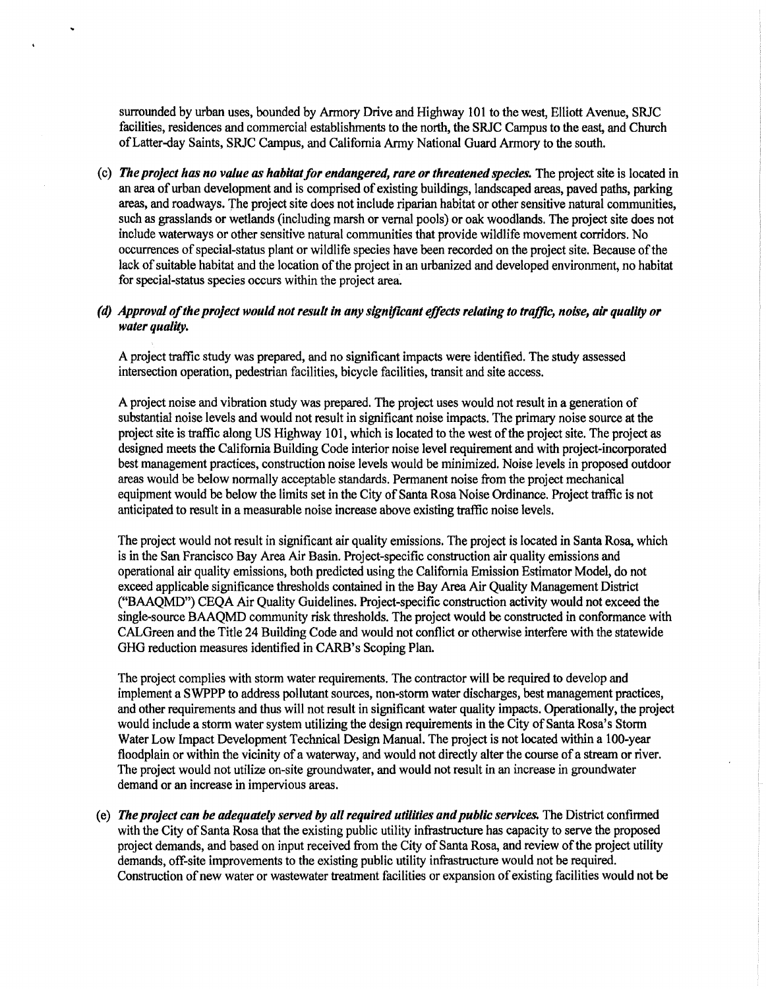surrounded by urban uses, bounded by Armory Drive and Highway 101 to the west, Elliott Avenue, SRJC facilities, residences and commercial establishments to the north, the SRJC Campus to the east, and Church of Latter-day Saints, SRJC Campus, and California Army National Guard Armory to the south.

( c) *The project has no value as habitat for endangered, rare or threatened species.* The project site is located in an area of urban development and is comprised of existing buildings, landscaped areas, paved paths, parking areas, and roadways. The project site does not include riparian habitat or other sensitive natural communities, such as grasslands or wetlands (including marsh or vernal pools) or oak woodlands. The project site does not include waterways or other sensitive natural communities that provide wildlife movement corridors. No occurrences of special-status plant or wildlife species have been recorded on the project site. Because of the lack of suitable habitat and the location of the project in an urbanized and developed environment, no habitat for special-status species occurs within the project area.

#### *(d) Approval of the project would not result in any signljlcant effects relating to trajJlc, noise, air quality or water quality.*

A project traffic study was prepared, and no significant impacts were identified. The study assessed intersection operation, pedestrian facilities, bicycle facilities, transit and site access.

A project noise and vibration study was prepared. The project uses would not result in a generation of substantial noise levels and would not result in significant noise impacts. The primary noise source at the project site is traffic along US Highway 101, which is located to the west of the project site. The project as designed meets the California Building Code interior noise level requirement and with project-incorporated best management practices, construction noise levels would be minimized. Noise levels in proposed outdoor areas would be below normally acceptable standards. Permanent noise from the project mechanical equipment would be below the limits set in the City of Santa Rosa Noise Ordinance. Project traffic is not anticipated to result in a measurable noise increase above existing traffic noise levels.

The project would not result in significant air quality emissions. The project is located in Santa Rosa, which is in the San Francisco Bay Area Air Basin. Project-specific construction air quality emissions and operational air quality emissions, both predicted using the California Emission Estimator Model, do not exceed applicable significance thresholds contained in the Bay Area Air Quality Management District ("BMQMD") CEQA Air Quality Guidelines. Project-specific construction activity would not exceed the single-source BAAQMD community risk thresholds. The project would be constructed in conformance with CALGreen and the Title 24 Building Code and would not conflict or otherwise interfere with the statewide GHG reduction measures identified in CARB's Scoping Plan.

The project complies with storm water requirements. The contractor will be required to develop and implement a SWPPP to address pollutant sources, non-storm water discharges, best management practices, and other requirements and thus will not result in significant water quality impacts. Operationally, the project would include a storm water system utilizing the design requirements in the City of Santa Rosa's Storm Water Low Impact Development Technical Design Manual. The project is not located within a 100-year floodplain or within the vicinity of a waterway, and would not directly alter the course of a stream or river. The project would not utilize on-site groundwater, and would not result in an increase in groundwater demand or an increase in impervious areas.

( e) *The project can be adequately served by all required utilities and public services.* The District confirmed with the City of Santa Rosa that the existing public utility infrastructure has capacity to serve the proposed project demands, and based on input received from the City of Santa Rosa, and review of the project utility demands, off-site improvements to the existing public utility infrastructure would not be required. Construction of new water or wastewater treatment facilities or expansion of existing facilities would not be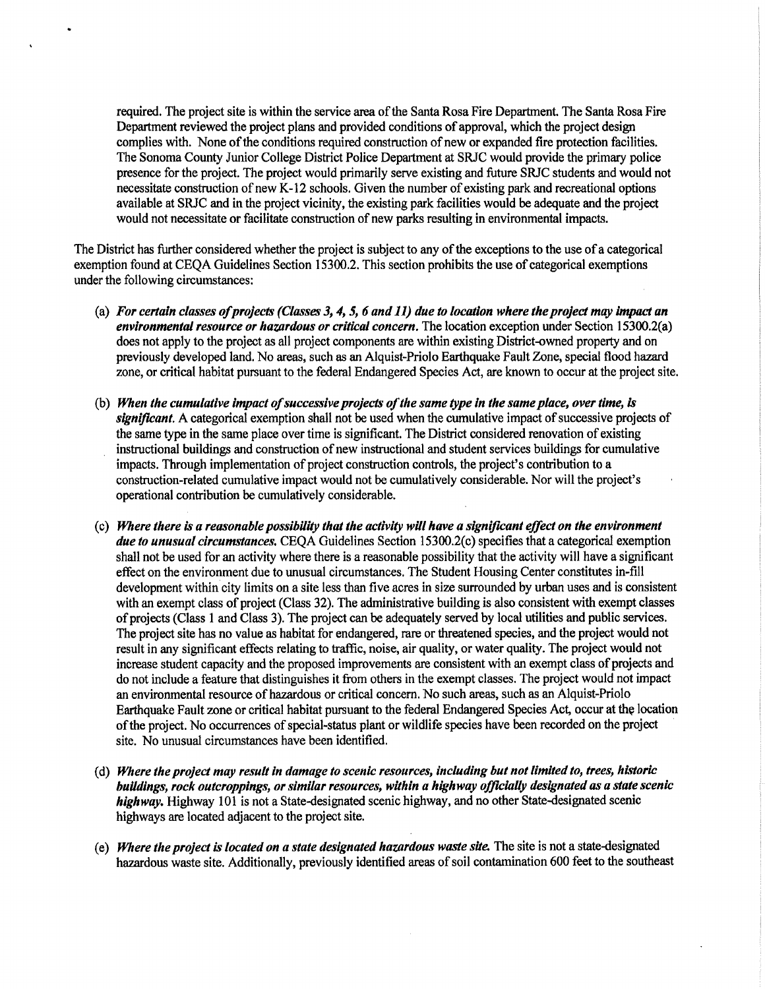required. The project site is within the service area of the Santa Rosa Fire Department. The Santa Rosa Fire Department reviewed the project plans and provided conditions of approval, which the project design complies with. None of the conditions required construction of new or expanded fire protection facilities. The Sonoma County Junior College District Police Department at SRJC would provide the primary police presence for the project. The project would primarily serve existing and future SRJC students and would not necessitate construction of new K-12 schools. Given the number of existing park and recreational options available at SRJC and in the project vicinity, the existing park facilities would be adequate and the project would not necessitate or facilitate construction of new parks resulting in environmental impacts.

The District has further considered whether the project is subject to any of the exceptions to the use of a categorical exemption found at CEQA Guidelines Section 15300.2. This section prohibits the use of categorical exemptions under the following circumstances:

- (a) *For certain classes of projects (Classes 3, 4, 5, 6 and 11) due to location where the project may impact an environmental resource or hazardous or critical concern.* The location exception under Section 15300.2(a) does not apply to the project as all project components are within existing District-owned property and on previously developed land. No areas, such as an Alquist-Priolo Earthquake Fault Zone, special flood hazard zone, or critical habitat pursuant to the federal Endangered Species Act, are known to occur at the project site.
- (b) *When the cumulative impact of successive projects of the same type in the same place, over time, is significant.* A categorical exemption shall not be used when the cumulative impact of successive projects of the same type in the same place over time is significant. The District considered renovation of existing instructional buildings and construction of new instructional and student services buildings for cumulative impacts. Through implementation of project construction controls, the project's contribution to a construction-related cumulative impact would not be cumulatively considerable. Nor will the project's operational contribution be cumulatively considerable.
- ( c) *Where there is a reasonable possibility that the activity will have a significant effect on the environment due to unusual circumstances.* CEQA Guidelines Section 15300.2(c) specifies that a categorical exemption shall not be used for an activity where there is a reasonable possibility that the activity will have a significant effect on the environment due to unusual circumstances. The Student Housing Center constitutes in-fill development within city limits on a site less than five acres in size surrounded by urban uses and is consistent with an exempt class of project (Class 32). The administrative building is also consistent with exempt classes of projects (Class 1 and Class 3). The project can be adequately served by local utilities and public services. The project site has no value as habitat for endangered, rare or threatened species, and the project would not result in any significant effects relating to traffic, noise, air quality, or water quality. The project would not increase student capacity and the proposed improvements are consistent with an exempt class of projects and do not include a feature that distinguishes it from others in the exempt classes. The project would not impact an environmental resource of hazardous or critical concern. No such areas, such as an Alquist-Priolo Earthquake Fault zone or critical habitat pursuant to the federal Endangered Species Act, occur at the location of the project. No occurrences of special-status plant or wildlife species have been recorded on the project site. No unusual circumstances have been identified.
- ( d) *Where the project may result in damage to scenic resources, including but not limited to, trees, historic buildings, rock outcroppings, or similar resources, within a highway ofjlcially designated as a state scenic highway.* Highway 101 is not a State-designated scenic highway, and no other State-designated scenic highways are located adjacent to the project site.
- **(e)** *Where the project is located on a state designated hawrdous waste site.* The site is not a state-designated hazardous waste site. Additionally, previously identified areas of soil contamination 600 feet to the southeast